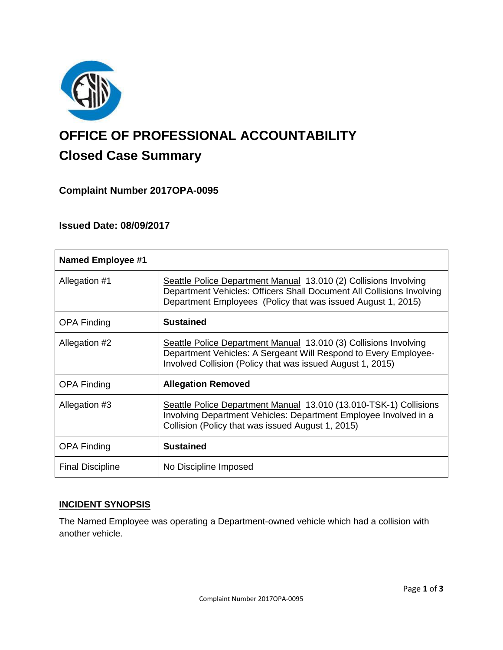

# **OFFICE OF PROFESSIONAL ACCOUNTABILITY Closed Case Summary**

# **Complaint Number 2017OPA-0095**

## **Issued Date: 08/09/2017**

| <b>Named Employee #1</b> |                                                                                                                                                                                                           |
|--------------------------|-----------------------------------------------------------------------------------------------------------------------------------------------------------------------------------------------------------|
| Allegation #1            | Seattle Police Department Manual 13.010 (2) Collisions Involving<br>Department Vehicles: Officers Shall Document All Collisions Involving<br>Department Employees (Policy that was issued August 1, 2015) |
| <b>OPA Finding</b>       | <b>Sustained</b>                                                                                                                                                                                          |
| Allegation #2            | Seattle Police Department Manual 13.010 (3) Collisions Involving<br>Department Vehicles: A Sergeant Will Respond to Every Employee-<br>Involved Collision (Policy that was issued August 1, 2015)         |
| <b>OPA Finding</b>       | <b>Allegation Removed</b>                                                                                                                                                                                 |
| Allegation #3            | Seattle Police Department Manual 13.010 (13.010-TSK-1) Collisions<br>Involving Department Vehicles: Department Employee Involved in a<br>Collision (Policy that was issued August 1, 2015)                |
| <b>OPA Finding</b>       | <b>Sustained</b>                                                                                                                                                                                          |
| <b>Final Discipline</b>  | No Discipline Imposed                                                                                                                                                                                     |

## **INCIDENT SYNOPSIS**

The Named Employee was operating a Department-owned vehicle which had a collision with another vehicle.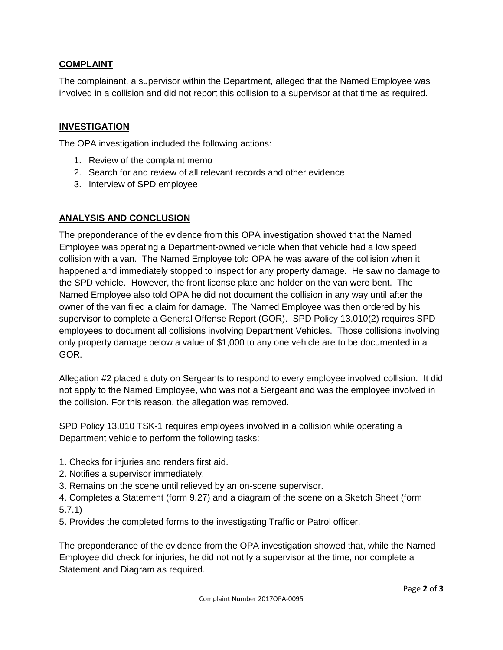## **COMPLAINT**

The complainant, a supervisor within the Department, alleged that the Named Employee was involved in a collision and did not report this collision to a supervisor at that time as required.

#### **INVESTIGATION**

The OPA investigation included the following actions:

- 1. Review of the complaint memo
- 2. Search for and review of all relevant records and other evidence
- 3. Interview of SPD employee

#### **ANALYSIS AND CONCLUSION**

The preponderance of the evidence from this OPA investigation showed that the Named Employee was operating a Department-owned vehicle when that vehicle had a low speed collision with a van. The Named Employee told OPA he was aware of the collision when it happened and immediately stopped to inspect for any property damage. He saw no damage to the SPD vehicle. However, the front license plate and holder on the van were bent. The Named Employee also told OPA he did not document the collision in any way until after the owner of the van filed a claim for damage. The Named Employee was then ordered by his supervisor to complete a General Offense Report (GOR). SPD Policy 13.010(2) requires SPD employees to document all collisions involving Department Vehicles. Those collisions involving only property damage below a value of \$1,000 to any one vehicle are to be documented in a GOR.

Allegation #2 placed a duty on Sergeants to respond to every employee involved collision. It did not apply to the Named Employee, who was not a Sergeant and was the employee involved in the collision. For this reason, the allegation was removed.

SPD Policy 13.010 TSK-1 requires employees involved in a collision while operating a Department vehicle to perform the following tasks:

- 1. Checks for injuries and renders first aid.
- 2. Notifies a supervisor immediately.
- 3. Remains on the scene until relieved by an on-scene supervisor.
- 4. Completes a Statement (form 9.27) and a diagram of the scene on a Sketch Sheet (form 5.7.1)
- 5. Provides the completed forms to the investigating Traffic or Patrol officer.

The preponderance of the evidence from the OPA investigation showed that, while the Named Employee did check for injuries, he did not notify a supervisor at the time, nor complete a Statement and Diagram as required.